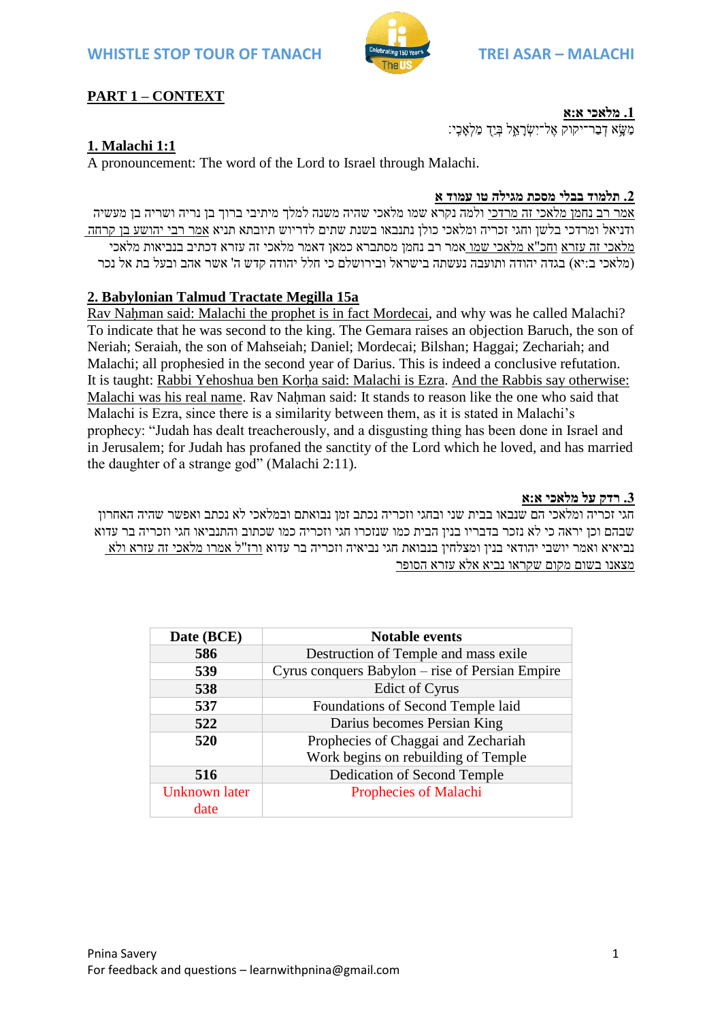

**.1 מלאכי א:א**

# **PART 1 – CONTEXT**

# **1. Malachi 1:1**

A pronouncement: The word of the Lord to Israel through Malachi.

### **.2 תלמוד בבלי מסכת מגילה טו עמוד א**

יקוק אֱל־יִשָׂראֱל בְּיַדְ מלֹאכי:

אמר רב נחמן מלאכי זה מרדכי ולמה נקרא שמו מלאכי שהיה משנה למלך מיתיבי ברוך בן נריה ושריה בן מעשיה ודניאל ומרדכי בלשן וחגי זכריה ומלאכי כולן נתנבאו בשנת שתים לדריוש תיובתא תניא אמר רבי יהושע בן קרחה מלאכי זה עזרא וחכ"א מלאכי שמו אמר רב נחמן מסתברא כמאן דאמר מלאכי זה עזרא דכתיב בנביאות מלאכי (מלאכי ב:יא) בגדה יהודה ותועבה נעשתה בישראל ובירושלם כי חלל יהודה קדש ה' אשר אהב ובעל בת אל נכר

# **2. Babylonian Talmud Tractate Megilla 15a**

Rav Nahman said: Malachi the prophet is in fact Mordecai, and why was he called Malachi? To indicate that he was second to the king. The Gemara raises an objection Baruch, the son of Neriah; Seraiah, the son of Mahseiah; Daniel; Mordecai; Bilshan; Haggai; Zechariah; and Malachi; all prophesied in the second year of Darius. This is indeed a conclusive refutation. It is taught: Rabbi Yehoshua ben Korha said: Malachi is Ezra. And the Rabbis say otherwise: Malachi was his real name. Rav Nahman said: It stands to reason like the one who said that Malachi is Ezra, since there is a similarity between them, as it is stated in Malachi's prophecy: "Judah has dealt treacherously, and a disgusting thing has been done in Israel and in Jerusalem; for Judah has profaned the sanctity of the Lord which he loved, and has married the daughter of a strange god" [\(Malachi 2:11\)](/Malachi.2.11).

#### **.3 רדק על מלאכי א:א**

חגי זכריה ומלאכי הם שנבאו בבית שני ובחגי וזכריה נכתב זמן נבואתם ובמלאכי לא נכתב ואפשר שהיה האחרון שבהם וכן יראה כי לא נזכר בדבריו בנין הבית כמו שנזכרו חגי וזכריה כמו שכתוב והתנביאו חגי וזכריה בר עדוא נביאיא ואמר יושבי יהודאי בנין ומצלחין בנבואת חגי נביאיה וזכריה בר עדוא ורז"ל אמרו מלאכי זה עזרא ולא מצאנו בשום מקום שקראו נביא אלא עזרא הסופר

| Date (BCE)           | <b>Notable events</b>                           |
|----------------------|-------------------------------------------------|
| 586                  | Destruction of Temple and mass exile            |
| 539                  | Cyrus conquers Babylon – rise of Persian Empire |
| 538                  | Edict of Cyrus                                  |
| 537                  | Foundations of Second Temple laid               |
| 522                  | Darius becomes Persian King                     |
| 520                  | Prophecies of Chaggai and Zechariah             |
|                      | Work begins on rebuilding of Temple             |
| 516                  | Dedication of Second Temple                     |
| <b>Unknown</b> later | <b>Prophecies of Malachi</b>                    |
| date                 |                                                 |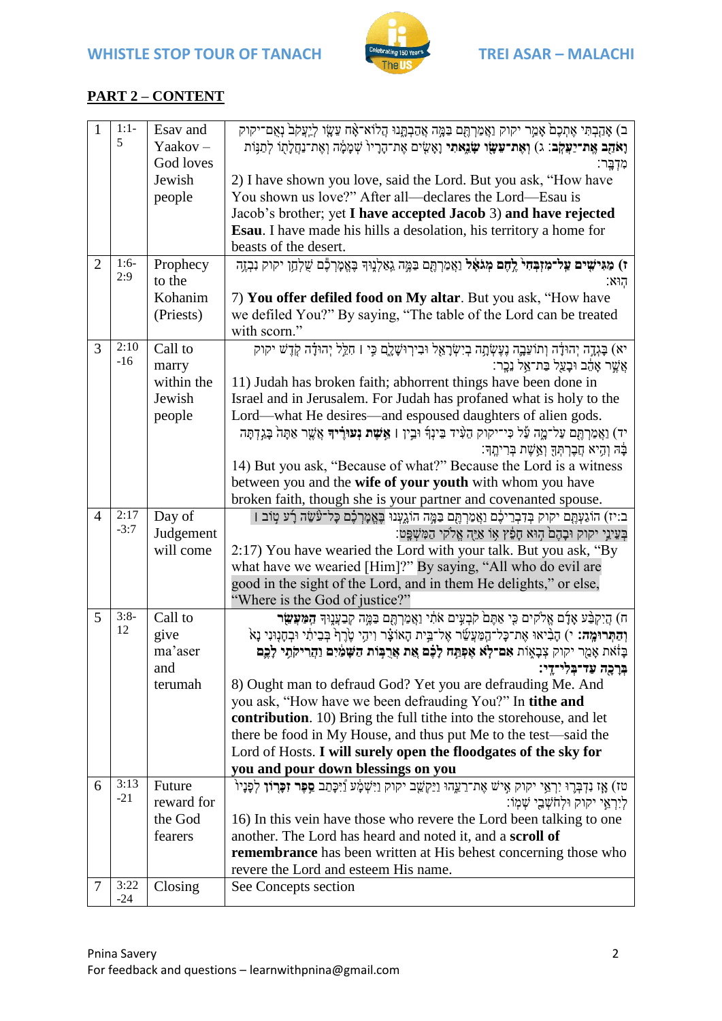

# **PART 2 – CONTENT**

| $\mathbf{1}$   | $1:1-$        | Esav and             | ב) אָהָבְתִּי אֶתְכֶם אָמֵר יקוק וַאֲמַרְחֶם בַּמֱה אֲהַבְתֱנוּ הֲלוֹא־אֶח עֵשֶׂו לְיַעֲקֹב נְאֲם־יקוק                                                                 |
|----------------|---------------|----------------------|------------------------------------------------------------------------------------------------------------------------------------------------------------------------|
|                | 5             | Yaakov $-$           | <b>וָאֹהַב אֱת־יַעֲקֹב</b> ֹ: ג) וְ <b>אֶת־עֵשָׂו שָׂגֵאתִי</b> וָאָשִׂים אֶת־הָרָיוֹ שְׁמָמֶׂה וְאֶת־נַחֲלָתָוֹ לְתַנָּוֹת                                            |
|                |               | God loves            | מִדְבֶר:                                                                                                                                                               |
|                |               | Jewish               | 2) I have shown you love, said the Lord. But you ask, "How have                                                                                                        |
|                |               | people               | You shown us love?" After all-declares the Lord-Esau is                                                                                                                |
|                |               |                      | Jacob's brother; yet I have accepted Jacob 3) and have rejected                                                                                                        |
|                |               |                      | <b>Esau</b> . I have made his hills a desolation, his territory a home for                                                                                             |
|                |               |                      | beasts of the desert.                                                                                                                                                  |
| $\overline{2}$ | $1:6-$<br>2:9 | Prophecy<br>to the   | ז) מגישים על־מוִבְהִי לֶחֶם מְגֹאָל וַאֲמַרְהֶם בַּמֶּה גֵאַלְנֶוּךְ בָּאֱמָרְבֶּם שַׁלְחַן יקוק נִבְזֶה ו<br>הוא:                                                     |
|                |               | Kohanim              | 7) You offer defiled food on My altar. But you ask, "How have                                                                                                          |
|                |               | (Priests)            | we defiled You?" By saying, "The table of the Lord can be treated                                                                                                      |
|                |               |                      | with scorn."                                                                                                                                                           |
| 3              | 2:10          | Call to              | יא) בַּגְדָה יְהוּדָה וְתוֹעֵבֶה נֶעֶשְׂתָה בְיִשְׂרָאֵל וּבִיךְוּשָׁלֶם כִּי וֹ חָלֵל יְהוּדָה קֻדָּשׁ יקוק                                                           |
|                | $-16$         | marry                | אֱשֶׁר אַהֶב וּבַעֲל בַּת־אֱל נֵכֵר:                                                                                                                                   |
|                |               | within the           | 11) Judah has broken faith; abhorrent things have been done in                                                                                                         |
|                |               | Jewish               | Israel and in Jerusalem. For Judah has profaned what is holy to the                                                                                                    |
|                |               | people               | Lord—what He desires—and espoused daughters of alien gods.                                                                                                             |
|                |               |                      | יד) וַאֲמַרְתֶּם עַל־מֱה עַל כִּי־יקוק הֵעָּיד בֵּינְךָ וּבֵין <b>  אֲשֶׁת נְעוּרֶיד</b> אֲשֱר אַתָּה בָּגַדְתָּה                                                      |
|                |               |                      | ּבָּה וְהִיא חֲבָרְתְּךָ וְאֵשֶׁת בְּרִיחֱךָ:                                                                                                                          |
|                |               |                      | 14) But you ask, "Because of what?" Because the Lord is a witness                                                                                                      |
|                |               |                      | between you and the wife of your youth with whom you have                                                                                                              |
|                |               |                      | broken faith, though she is your partner and covenanted spouse.                                                                                                        |
| $\overline{4}$ | 2:17          | Day of               | ב:יז) הוֹגַעְתֶּם יקוק בְּדִבְרֵיכֶם וַאֲמַרְתֶּם בַּמֱה הוֹגֵעְנוּ בֶּאֱמָרְכֶב כָּל־עַּשֵׂה רָע טִוֹב ו                                                              |
|                | $-3:7$        | Judgement            | בְּעֵינֵי יקוק וּבָהֶם הְוּא חָפֵ֫ץ אָוֹ אַיֵּהְ אֱלֹקי הַמִּשְׁפֵָּט:                                                                                                 |
|                |               | will come            | 2:17) You have wearied the Lord with your talk. But you ask, "By                                                                                                       |
|                |               |                      | what have we wearied [Him]?" By saying, "All who do evil are                                                                                                           |
|                |               |                      | good in the sight of the Lord, and in them He delights," or else,                                                                                                      |
|                |               |                      | "Where is the God of justice?"                                                                                                                                         |
| 5              | $3:8-$<br>12  | Call to              | ח) הַיִקְבַּ֫ע אָדָۢם אֱלֹקים כִּי אַתָּם קֹבְעִים אֹתִ֫י וַאֲמַרְתֶּם בַּמֱה קְבַעֲנֶוּד <b>ְ הַמַּעֲשֵׂר</b>                                                         |
|                |               | give                 | וְהַתְּרוּמֶה: י) הָבִּיאוּ אֶת־כָּל־הַמַּעֲשֶׂר אֶל־בֵּית הָאוֹצָר וִיהָי טֶרֶף בְּבֵיתִי וּבְחָנְוּנִי נָא                                                           |
|                |               | ma'aser              | בְּזֹאת אָמַר יקוק צְבָאֶוֹת <b>אִם־לָא אָפְתַּח לָבֶם אֵת אֲרֻבְּוֹת הַשָּׁמַּיִם וַהֲרִיקֹתִי לָבֶם</b>                                                              |
|                |               | and                  | בְּרָכֶה עַד־בְּלִי־דֶי:                                                                                                                                               |
|                |               | terumah              | 8) Ought man to defraud God? Yet you are defrauding Me. And                                                                                                            |
|                |               |                      | you ask, "How have we been defrauding You?" In tithe and                                                                                                               |
|                |               |                      | contribution. 10) Bring the full tithe into the storehouse, and let                                                                                                    |
|                |               |                      | there be food in My House, and thus put Me to the test—said the                                                                                                        |
|                |               |                      | Lord of Hosts. I will surely open the floodgates of the sky for                                                                                                        |
|                |               |                      | you and pour down blessings on you                                                                                                                                     |
| 6              | 3:13<br>$-21$ | Future<br>reward for | טז) אָז נִדְבְּרָוּ יִרְאֵי יקוק אָישׁ אֶת־רֵעֵהוּ וַיַּקְשֵׁב יקוק וַיִּשְׁמָּע וַיִּכְּתֵב <b>סֵפֶר זִכְּרִוֹן</b> לְפָנָיוֹ<br>לִיִרְאֵי יקוק וּלְחֹשָׁבֵי שָׁמְוֹ: |
|                |               | the God              | 16) In this vein have those who revere the Lord been talking to one                                                                                                    |
|                |               | fearers              | another. The Lord has heard and noted it, and a scroll of                                                                                                              |
|                |               |                      | remembrance has been written at His behest concerning those who                                                                                                        |
|                |               |                      | revere the Lord and esteem His name.                                                                                                                                   |
| 7              | 3:22<br>$-24$ | Closing              | See Concepts section                                                                                                                                                   |